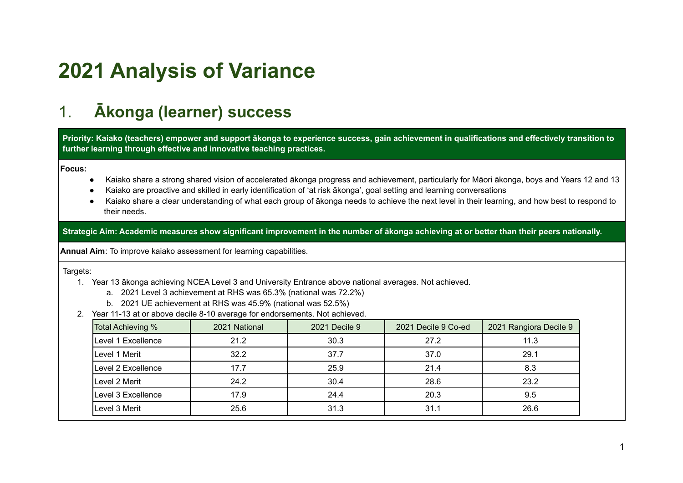# **2021 Analysis of Variance**

## 1. **Ākonga (learner) success**

Priority: Kaiako (teachers) empower and support ākonga to experience success, gain achievement in qualifications and effectively transition to **further learning through effective and innovative teaching practices.**

**Focus:**

- Kaiako share a strong shared vision of accelerated ākonga progress and achievement, particularly for Māori ākonga, boys and Years 12 and 13
- Kaiako are proactive and skilled in early identification of 'at risk ākonga', goal setting and learning conversations
- Kaiako share a clear understanding of what each group of ākonga needs to achieve the next level in their learning, and how best to respond to their needs.

Strategic Aim: Academic measures show significant improvement in the number of ākonga achieving at or better than their peers nationally.

**Annual Aim**: To improve kaiako assessment for learning capabilities.

Targets:

- 1. Year 13 ākonga achieving NCEA Level 3 and University Entrance above national averages. Not achieved.
	- a. 2021 Level 3 achievement at RHS was 65.3% (national was 72.2%)
	- b. 2021 UE achievement at RHS was 45.9% (national was 52.5%)
- 2. Year 11-13 at or above decile 8-10 average for endorsements. Not achieved.

| Total Achieving %          | 2021 National | 2021 Decile 9 | 2021 Decile 9 Co-ed | 2021 Rangiora Decile 9 |
|----------------------------|---------------|---------------|---------------------|------------------------|
| ILevel 1 Excellence        | 21.2          | 30.3          | 27.2                | 11.3                   |
| Level 1 Merit              | 32.2          | 37.7          | 37.0                | 29.1                   |
| <b>ILevel 2 Excellence</b> | 17.7          | 25.9          | 21.4                | 8.3                    |
| Level 2 Merit              | 24.2          | 30.4          | 28.6                | 23.2                   |
| Level 3 Excellence         | 17.9          | 24.4          | 20.3                | 9.5                    |
| Level 3 Merit              | 25.6          | 31.3          | 31.1                | 26.6                   |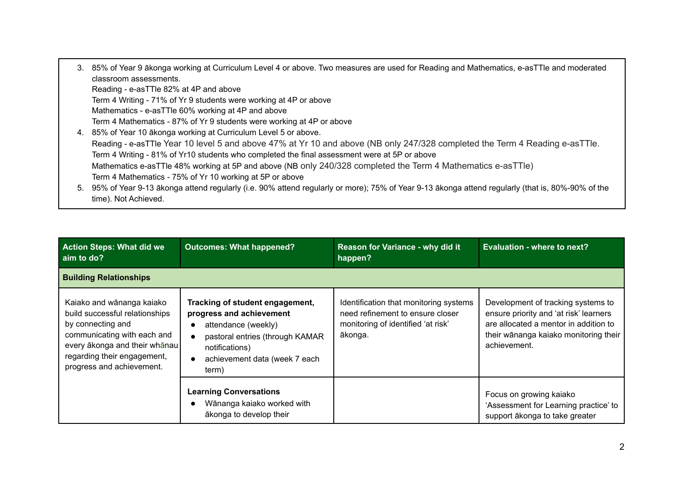| 3. 85% of Year 9 ākonga working at Curriculum Level 4 or above. Two measures are used for Reading and Mathematics, e-asTTle and moderated<br>classroom assessments. |
|---------------------------------------------------------------------------------------------------------------------------------------------------------------------|
| Reading - e-asTTle 82% at 4P and above                                                                                                                              |
| Term 4 Writing - 71% of Yr 9 students were working at 4P or above                                                                                                   |
| Mathematics - e-asTTle 60% working at 4P and above                                                                                                                  |
| Term 4 Mathematics - 87% of Yr 9 students were working at 4P or above                                                                                               |
| 4. 85% of Year 10 akonga working at Curriculum Level 5 or above.                                                                                                    |
| Reading - e-asTTIe Year 10 level 5 and above 47% at Yr 10 and above (NB only 247/328 completed the Term 4 Reading e-asTTIe.                                         |
| Term 4 Writing - 81% of Yr10 students who completed the final assessment were at 5P or above                                                                        |
| Mathematics e-asTTle 48% working at 5P and above (NB only 240/328 completed the Term 4 Mathematics e-asTTle)                                                        |
| Term 4 Mathematics - 75% of Yr 10 working at 5P or above                                                                                                            |
| 5. 95% of Year 9-13 ākonga attend regularly (i.e. 90% attend regularly or more); 75% of Year 9-13 ākonga attend regularly (that is, 80%-90% of the                  |
| time). Not Achieved.                                                                                                                                                |

| <b>Action Steps: What did we</b><br>aim to do?                                                                                                                                                               | <b>Outcomes: What happened?</b>                                                                                                                                                   | Reason for Variance - why did it<br>happen?                                                                                 | <b>Evaluation - where to next?</b>                                                                                                                                             |
|--------------------------------------------------------------------------------------------------------------------------------------------------------------------------------------------------------------|-----------------------------------------------------------------------------------------------------------------------------------------------------------------------------------|-----------------------------------------------------------------------------------------------------------------------------|--------------------------------------------------------------------------------------------------------------------------------------------------------------------------------|
| <b>Building Relationships</b>                                                                                                                                                                                |                                                                                                                                                                                   |                                                                                                                             |                                                                                                                                                                                |
| Kaiako and wānanga kaiako<br>build successful relationships<br>by connecting and<br>communicating with each and<br>every ākonga and their whānau<br>regarding their engagement,<br>progress and achievement. | Tracking of student engagement,<br>progress and achievement<br>attendance (weekly)<br>pastoral entries (through KAMAR<br>notifications)<br>achievement data (week 7 each<br>term) | Identification that monitoring systems<br>need refinement to ensure closer<br>monitoring of identified 'at risk'<br>ākonga. | Development of tracking systems to<br>ensure priority and 'at risk' learners<br>are allocated a mentor in addition to<br>their wānanga kaiako monitoring their<br>achievement. |
|                                                                                                                                                                                                              | <b>Learning Conversations</b><br>Wānanga kaiako worked with<br>ākonga to develop their                                                                                            |                                                                                                                             | Focus on growing kaiako<br>'Assessment for Learning practice' to<br>support ākonga to take greater                                                                             |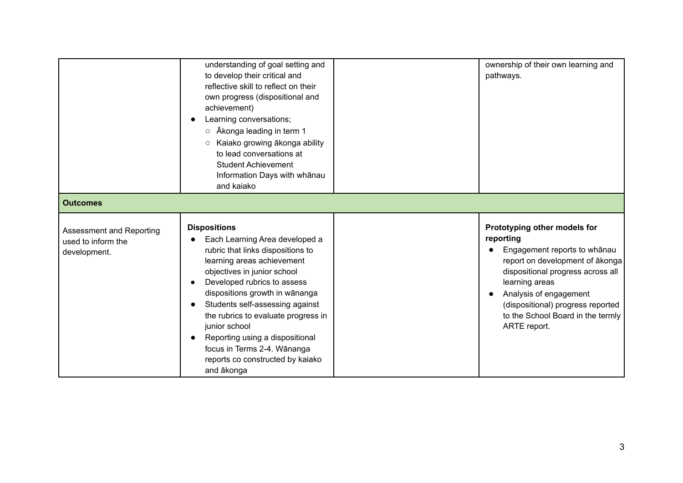|                                                                       | understanding of goal setting and<br>to develop their critical and<br>reflective skill to reflect on their<br>own progress (dispositional and<br>achievement)<br>Learning conversations;<br>Ākonga leading in term 1<br>$\circ$<br>Kaiako growing ākonga ability<br>$\circ$<br>to lead conversations at<br><b>Student Achievement</b><br>Information Days with whānau<br>and kaiako                                                     | ownership of their own learning and<br>pathways.                                                                                                                                                                                                                                        |
|-----------------------------------------------------------------------|-----------------------------------------------------------------------------------------------------------------------------------------------------------------------------------------------------------------------------------------------------------------------------------------------------------------------------------------------------------------------------------------------------------------------------------------|-----------------------------------------------------------------------------------------------------------------------------------------------------------------------------------------------------------------------------------------------------------------------------------------|
| <b>Outcomes</b>                                                       |                                                                                                                                                                                                                                                                                                                                                                                                                                         |                                                                                                                                                                                                                                                                                         |
| <b>Assessment and Reporting</b><br>used to inform the<br>development. | <b>Dispositions</b><br>Each Learning Area developed a<br>rubric that links dispositions to<br>learning areas achievement<br>objectives in junior school<br>Developed rubrics to assess<br>dispositions growth in wānanga<br>Students self-assessing against<br>the rubrics to evaluate progress in<br>junior school<br>Reporting using a dispositional<br>focus in Terms 2-4. Wānanga<br>reports co constructed by kaiako<br>and ākonga | Prototyping other models for<br>reporting<br>Engagement reports to whānau<br>report on development of ākonga<br>dispositional progress across all<br>learning areas<br>Analysis of engagement<br>(dispositional) progress reported<br>to the School Board in the termly<br>ARTE report. |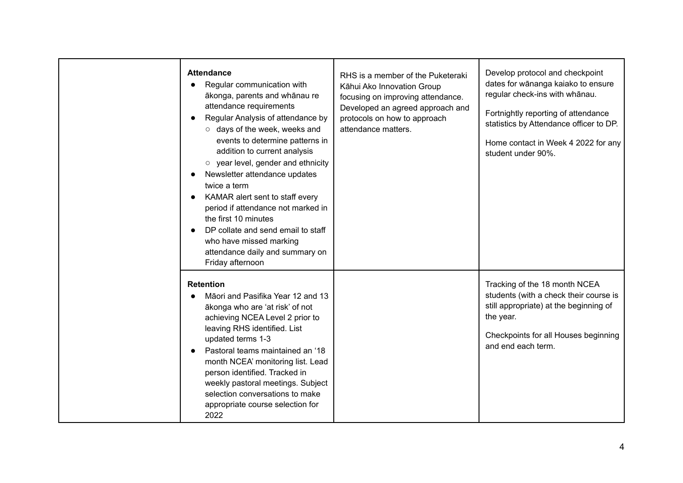| <b>Attendance</b><br>Regular communication with<br>ākonga, parents and whānau re<br>attendance requirements<br>Regular Analysis of attendance by<br>o days of the week, weeks and<br>events to determine patterns in<br>addition to current analysis<br>o year level, gender and ethnicity<br>Newsletter attendance updates<br>twice a term<br>KAMAR alert sent to staff every<br>period if attendance not marked in<br>the first 10 minutes<br>DP collate and send email to staff<br>who have missed marking<br>attendance daily and summary on<br>Friday afternoon | RHS is a member of the Puketeraki<br>Kāhui Ako Innovation Group<br>focusing on improving attendance.<br>Developed an agreed approach and<br>protocols on how to approach<br>attendance matters. | Develop protocol and checkpoint<br>dates for wānanga kaiako to ensure<br>regular check-ins with whānau.<br>Fortnightly reporting of attendance<br>statistics by Attendance officer to DP.<br>Home contact in Week 4 2022 for any<br>student under 90%. |
|----------------------------------------------------------------------------------------------------------------------------------------------------------------------------------------------------------------------------------------------------------------------------------------------------------------------------------------------------------------------------------------------------------------------------------------------------------------------------------------------------------------------------------------------------------------------|-------------------------------------------------------------------------------------------------------------------------------------------------------------------------------------------------|--------------------------------------------------------------------------------------------------------------------------------------------------------------------------------------------------------------------------------------------------------|
| <b>Retention</b><br>Māori and Pasifika Year 12 and 13<br>ākonga who are 'at risk' of not<br>achieving NCEA Level 2 prior to<br>leaving RHS identified. List<br>updated terms 1-3<br>Pastoral teams maintained an '18<br>month NCEA' monitoring list. Lead<br>person identified. Tracked in<br>weekly pastoral meetings. Subject<br>selection conversations to make<br>appropriate course selection for<br>2022                                                                                                                                                       |                                                                                                                                                                                                 | Tracking of the 18 month NCEA<br>students (with a check their course is<br>still appropriate) at the beginning of<br>the year.<br>Checkpoints for all Houses beginning<br>and end each term.                                                           |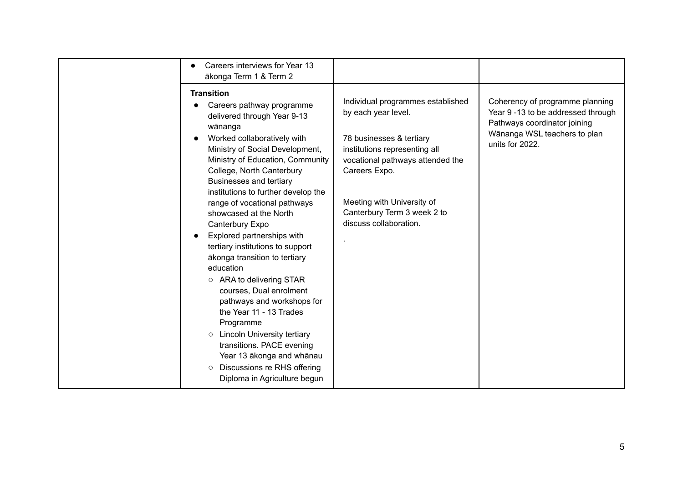| Careers interviews for Year 13<br>ākonga Term 1 & Term 2                                                                                                                                                                                                                                                                                                                                                                                                                                                                                                                                                                                                                                                                                                                                                  |                                                                                                                                                                                                                                                                   |                                                                                                                                                          |
|-----------------------------------------------------------------------------------------------------------------------------------------------------------------------------------------------------------------------------------------------------------------------------------------------------------------------------------------------------------------------------------------------------------------------------------------------------------------------------------------------------------------------------------------------------------------------------------------------------------------------------------------------------------------------------------------------------------------------------------------------------------------------------------------------------------|-------------------------------------------------------------------------------------------------------------------------------------------------------------------------------------------------------------------------------------------------------------------|----------------------------------------------------------------------------------------------------------------------------------------------------------|
| <b>Transition</b><br>Careers pathway programme<br>delivered through Year 9-13<br>wānanga<br>Worked collaboratively with<br>Ministry of Social Development,<br>Ministry of Education, Community<br>College, North Canterbury<br>Businesses and tertiary<br>institutions to further develop the<br>range of vocational pathways<br>showcased at the North<br>Canterbury Expo<br>Explored partnerships with<br>tertiary institutions to support<br>ākonga transition to tertiary<br>education<br>$\circ$ ARA to delivering STAR<br>courses, Dual enrolment<br>pathways and workshops for<br>the Year 11 - 13 Trades<br>Programme<br><b>O</b> Lincoln University tertiary<br>transitions. PACE evening<br>Year 13 ākonga and whānau<br>Discussions re RHS offering<br>$\circ$<br>Diploma in Agriculture begun | Individual programmes established<br>by each year level.<br>78 businesses & tertiary<br>institutions representing all<br>vocational pathways attended the<br>Careers Expo.<br>Meeting with University of<br>Canterbury Term 3 week 2 to<br>discuss collaboration. | Coherency of programme planning<br>Year 9 -13 to be addressed through<br>Pathways coordinator joining<br>Wānanga WSL teachers to plan<br>units for 2022. |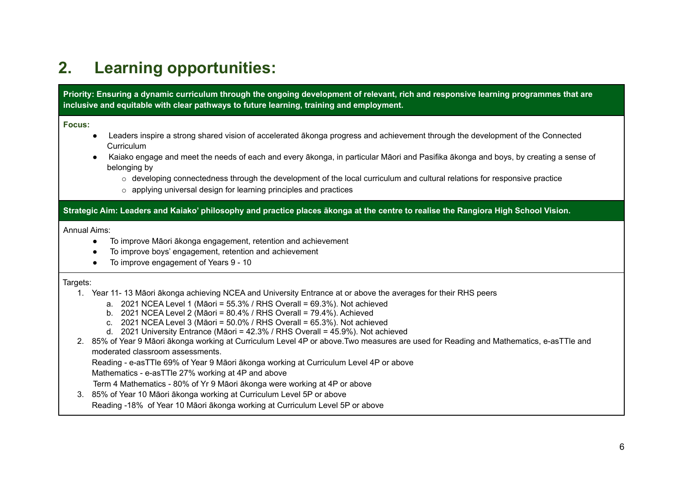### **2. Learning opportunities:**

Priority: Ensuring a dynamic curriculum through the ongoing development of relevant, rich and responsive learning programmes that are **inclusive and equitable with clear pathways to future learning, training and employment.**

#### **Focus:**

- Leaders inspire a strong shared vision of accelerated ākonga progress and achievement through the development of the Connected Curriculum
- Kaiako engage and meet the needs of each and every ākonga, in particular Māori and Pasifika ākonga and boys, by creating a sense of belonging by
	- $\circ$  developing connectedness through the development of the local curriculum and cultural relations for responsive practice
	- $\circ$  applying universal design for learning principles and practices

Strategic Aim: Leaders and Kaiako' philosophy and practice places akonga at the centre to realise the Rangiora High School Vision.

#### Annual Aims:

- To improve Māori ākonga engagement, retention and achievement
- To improve boys' engagement, retention and achievement
- To improve engagement of Years 9 10

#### Targets:

- 1. Year 11- 13 Māori ākonga achieving NCEA and University Entrance at or above the averages for their RHS peers
	- a. 2021 NCEA Level 1 (Māori = 55.3% / RHS Overall = 69.3%). Not achieved
	- b. 2021 NCEA Level 2 (Māori = 80.4% / RHS Overall = 79.4%). Achieved
	- c. 2021 NCEA Level 3 (Māori = 50.0% / RHS Overall = 65.3%). Not achieved
	- d. 2021 University Entrance (Māori = 42.3% / RHS Overall = 45.9%). Not achieved
- 2. 85% of Year 9 Māori ākonga working at Curriculum Level 4P or above.Two measures are used for Reading and Mathematics, e-asTTle and moderated classroom assessments.
	- Reading e-asTTle 69% of Year 9 Māori ākonga working at Curriculum Level 4P or above
	- Mathematics e-asTTle 27% working at 4P and above
	- Term 4 Mathematics 80% of Yr 9 Māori ākonga were working at 4P or above
- 3. 85% of Year 10 Māori ākonga working at Curriculum Level 5P or above
	- Reading -18% of Year 10 Māori ākonga working at Curriculum Level 5P or above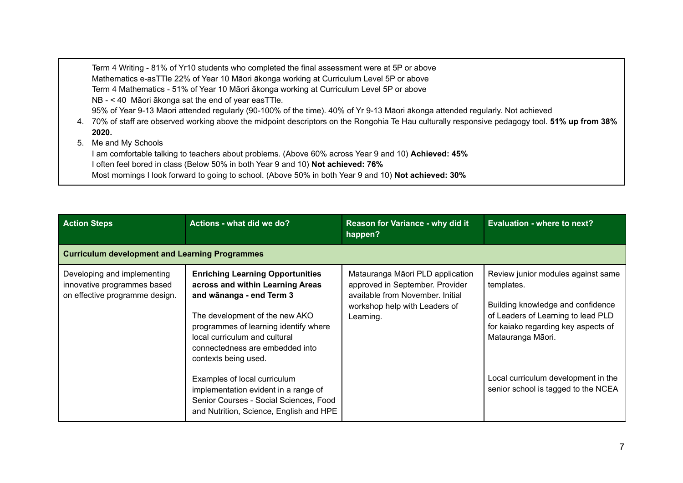Term 4 Writing - 81% of Yr10 students who completed the final assessment were at 5P or above Mathematics e-asTTle 22% of Year 10 Māori ākonga working at Curriculum Level 5P or above Term 4 Mathematics - 51% of Year 10 Māori ākonga working at Curriculum Level 5P or above NB - < 40 Māori ākonga sat the end of year easTTle. 95% of Year 9-13 Māori attended regularly (90-100% of the time). 40% of Yr 9-13 Māori ākonga attended regularly. Not achieved 4. 70% of staff are observed working above the midpoint descriptors on the Rongohia Te Hau culturally responsive pedagogy tool. **51% up from 38% 2020.** 5. Me and My Schools I am comfortable talking to teachers about problems. (Above 60% across Year 9 and 10) **Achieved: 45%** I often feel bored in class (Below 50% in both Year 9 and 10) **Not achieved: 76%** Most mornings I look forward to going to school. (Above 50% in both Year 9 and 10) **Not achieved: 30%**

| <b>Action Steps</b>                                                                          | Actions - what did we do?                                                                                                                                                                                                                                                                                                                                                                                                                   | Reason for Variance - why did it<br>happen?                                                                                                           | Evaluation - where to next?                                                                                                                                                                                                                                           |
|----------------------------------------------------------------------------------------------|---------------------------------------------------------------------------------------------------------------------------------------------------------------------------------------------------------------------------------------------------------------------------------------------------------------------------------------------------------------------------------------------------------------------------------------------|-------------------------------------------------------------------------------------------------------------------------------------------------------|-----------------------------------------------------------------------------------------------------------------------------------------------------------------------------------------------------------------------------------------------------------------------|
| <b>Curriculum development and Learning Programmes</b>                                        |                                                                                                                                                                                                                                                                                                                                                                                                                                             |                                                                                                                                                       |                                                                                                                                                                                                                                                                       |
| Developing and implementing<br>innovative programmes based<br>on effective programme design. | <b>Enriching Learning Opportunities</b><br>across and within Learning Areas<br>and wānanga - end Term 3<br>The development of the new AKO<br>programmes of learning identify where<br>local curriculum and cultural<br>connectedness are embedded into<br>contexts being used.<br>Examples of local curriculum<br>implementation evident in a range of<br>Senior Courses - Social Sciences, Food<br>and Nutrition, Science, English and HPE | Matauranga Māori PLD application<br>approved in September. Provider<br>available from November, Initial<br>workshop help with Leaders of<br>Learning. | Review junior modules against same<br>templates.<br>Building knowledge and confidence<br>of Leaders of Learning to lead PLD<br>for kaiako regarding key aspects of<br>Matauranga Māori.<br>Local curriculum development in the<br>senior school is tagged to the NCEA |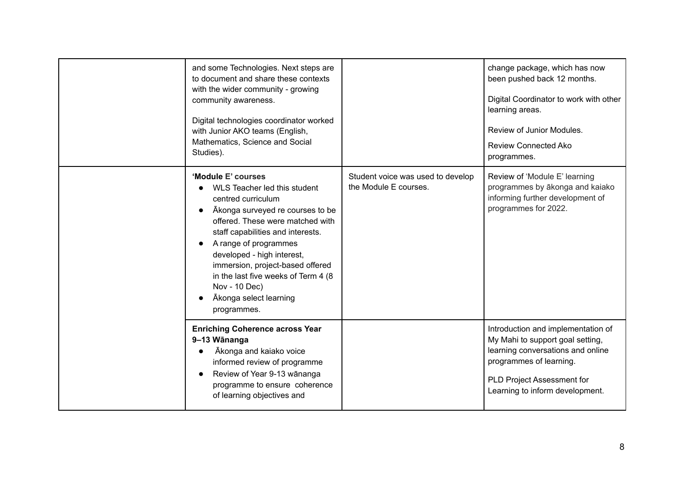|  | and some Technologies. Next steps are<br>to document and share these contexts<br>with the wider community - growing<br>community awareness.<br>Digital technologies coordinator worked<br>with Junior AKO teams (English,<br>Mathematics, Science and Social<br>Studies).                                                                                                                                                 |                                                            | change package, which has now<br>been pushed back 12 months.<br>Digital Coordinator to work with other<br>learning areas.<br>Review of Junior Modules.<br><b>Review Connected Ako</b><br>programmes.    |
|--|---------------------------------------------------------------------------------------------------------------------------------------------------------------------------------------------------------------------------------------------------------------------------------------------------------------------------------------------------------------------------------------------------------------------------|------------------------------------------------------------|---------------------------------------------------------------------------------------------------------------------------------------------------------------------------------------------------------|
|  | 'Module E' courses<br>WLS Teacher led this student<br>centred curriculum<br>Akonga surveyed re courses to be<br>$\bullet$<br>offered. These were matched with<br>staff capabilities and interests.<br>A range of programmes<br>$\bullet$<br>developed - high interest,<br>immersion, project-based offered<br>in the last five weeks of Term 4 (8)<br>Nov - 10 Dec)<br>Ākonga select learning<br>$\bullet$<br>programmes. | Student voice was used to develop<br>the Module E courses. | Review of 'Module E' learning<br>programmes by ākonga and kaiako<br>informing further development of<br>programmes for 2022.                                                                            |
|  | <b>Enriching Coherence across Year</b><br>9-13 Wānanga<br>Ākonga and kaiako voice<br>informed review of programme<br>Review of Year 9-13 wānanga<br>$\bullet$<br>programme to ensure coherence<br>of learning objectives and                                                                                                                                                                                              |                                                            | Introduction and implementation of<br>My Mahi to support goal setting,<br>learning conversations and online<br>programmes of learning.<br>PLD Project Assessment for<br>Learning to inform development. |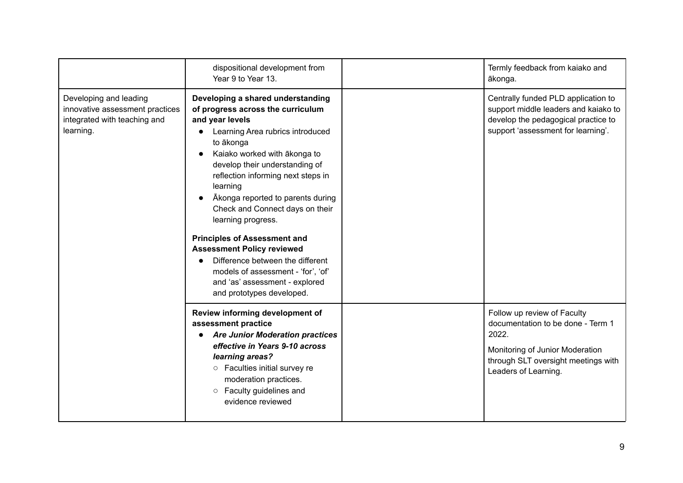|                                                                                                        | dispositional development from<br>Year 9 to Year 13.                                                                                                                                                                                                                                                                                                                                                                                                                                                                                                                              | Termly feedback from kaiako and<br>ākonga.                                                                                                                                  |
|--------------------------------------------------------------------------------------------------------|-----------------------------------------------------------------------------------------------------------------------------------------------------------------------------------------------------------------------------------------------------------------------------------------------------------------------------------------------------------------------------------------------------------------------------------------------------------------------------------------------------------------------------------------------------------------------------------|-----------------------------------------------------------------------------------------------------------------------------------------------------------------------------|
| Developing and leading<br>innovative assessment practices<br>integrated with teaching and<br>learning. | Developing a shared understanding<br>of progress across the curriculum<br>and year levels<br>Learning Area rubrics introduced<br>to ākonga<br>Kaiako worked with ākonga to<br>develop their understanding of<br>reflection informing next steps in<br>learning<br>Akonga reported to parents during<br>Check and Connect days on their<br>learning progress.<br><b>Principles of Assessment and</b><br><b>Assessment Policy reviewed</b><br>Difference between the different<br>models of assessment - 'for', 'of'<br>and 'as' assessment - explored<br>and prototypes developed. | Centrally funded PLD application to<br>support middle leaders and kaiako to<br>develop the pedagogical practice to<br>support 'assessment for learning'.                    |
|                                                                                                        | Review informing development of<br>assessment practice<br><b>Are Junior Moderation practices</b><br>effective in Years 9-10 across<br>learning areas?<br>Faculties initial survey re<br>$\circ$<br>moderation practices.<br>Faculty guidelines and<br>$\circ$<br>evidence reviewed                                                                                                                                                                                                                                                                                                | Follow up review of Faculty<br>documentation to be done - Term 1<br>2022.<br>Monitoring of Junior Moderation<br>through SLT oversight meetings with<br>Leaders of Learning. |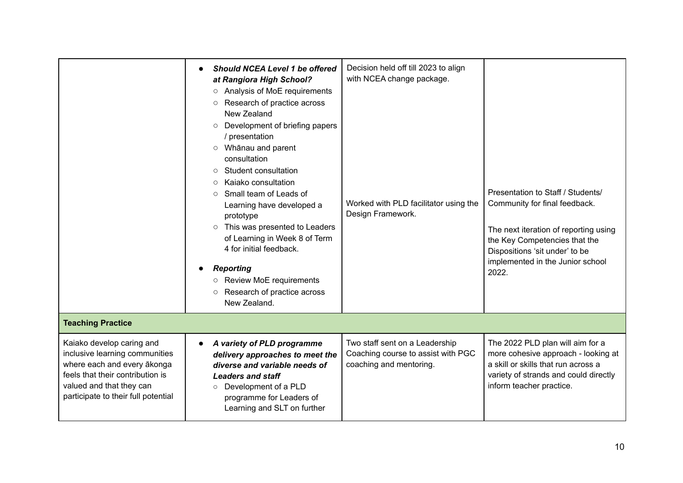|                                                                                                                                                                                                   | Should NCEA Level 1 be offered<br>at Rangiora High School?<br>Analysis of MoE requirements<br>$\circ$<br>Research of practice across<br>$\circ$<br>New Zealand<br>Development of briefing papers<br>$\circlearrowright$<br>/ presentation<br>Whānau and parent<br>$\circ$<br>consultation<br>Student consultation<br>$\circ$<br>Kaiako consultation<br>$\circ$<br>Small team of Leads of<br>$\circ$<br>Learning have developed a<br>prototype<br>This was presented to Leaders<br>$\circ$<br>of Learning in Week 8 of Term<br>4 for initial feedback.<br><b>Reporting</b><br>Review MoE requirements<br>Research of practice across<br>$\circ$<br>New Zealand. | Decision held off till 2023 to align<br>with NCEA change package.<br>Worked with PLD facilitator using the<br>Design Framework. | Presentation to Staff / Students/<br>Community for final feedback.<br>The next iteration of reporting using<br>the Key Competencies that the<br>Dispositions 'sit under' to be<br>implemented in the Junior school<br>2022. |
|---------------------------------------------------------------------------------------------------------------------------------------------------------------------------------------------------|----------------------------------------------------------------------------------------------------------------------------------------------------------------------------------------------------------------------------------------------------------------------------------------------------------------------------------------------------------------------------------------------------------------------------------------------------------------------------------------------------------------------------------------------------------------------------------------------------------------------------------------------------------------|---------------------------------------------------------------------------------------------------------------------------------|-----------------------------------------------------------------------------------------------------------------------------------------------------------------------------------------------------------------------------|
| <b>Teaching Practice</b>                                                                                                                                                                          |                                                                                                                                                                                                                                                                                                                                                                                                                                                                                                                                                                                                                                                                |                                                                                                                                 |                                                                                                                                                                                                                             |
| Kaiako develop caring and<br>inclusive learning communities<br>where each and every ākonga<br>feels that their contribution is<br>valued and that they can<br>participate to their full potential | A variety of PLD programme<br>$\bullet$<br>delivery approaches to meet the<br>diverse and variable needs of<br><b>Leaders and staff</b><br>Development of a PLD<br>$\circ$<br>programme for Leaders of<br>Learning and SLT on further                                                                                                                                                                                                                                                                                                                                                                                                                          | Two staff sent on a Leadership<br>Coaching course to assist with PGC<br>coaching and mentoring.                                 | The 2022 PLD plan will aim for a<br>more cohesive approach - looking at<br>a skill or skills that run across a<br>variety of strands and could directly<br>inform teacher practice.                                         |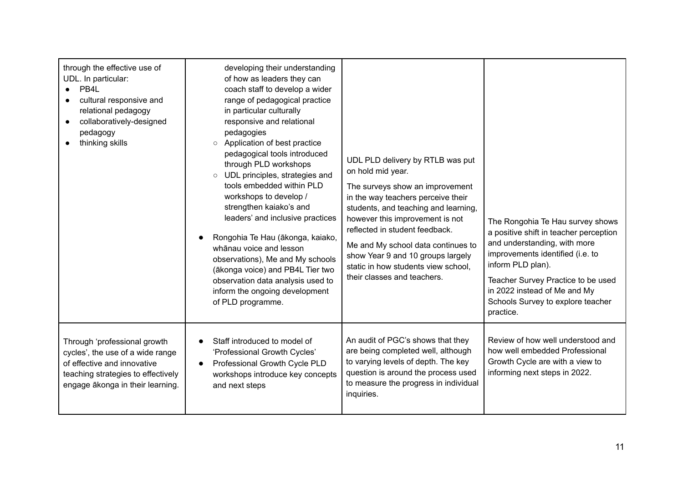| through the effective use of<br>UDL. In particular:<br>PB4L<br>cultural responsive and<br>relational pedagogy<br>collaboratively-designed<br>pedagogy<br>thinking skills  | developing their understanding<br>of how as leaders they can<br>coach staff to develop a wider<br>range of pedagogical practice<br>in particular culturally<br>responsive and relational<br>pedagogies<br>Application of best practice<br>$\circ$<br>pedagogical tools introduced<br>through PLD workshops<br>UDL principles, strategies and<br>$\circ$<br>tools embedded within PLD<br>workshops to develop /<br>strengthen kaiako's and<br>leaders' and inclusive practices<br>Rongohia Te Hau (ākonga, kaiako,<br>whānau voice and lesson<br>observations), Me and My schools<br>(ākonga voice) and PB4L Tier two<br>observation data analysis used to<br>inform the ongoing development<br>of PLD programme. | UDL PLD delivery by RTLB was put<br>on hold mid year.<br>The surveys show an improvement<br>in the way teachers perceive their<br>students, and teaching and learning,<br>however this improvement is not<br>reflected in student feedback.<br>Me and My school data continues to<br>show Year 9 and 10 groups largely<br>static in how students view school,<br>their classes and teachers. | The Rongohia Te Hau survey shows<br>a positive shift in teacher perception<br>and understanding, with more<br>improvements identified (i.e. to<br>inform PLD plan).<br>Teacher Survey Practice to be used<br>in 2022 instead of Me and My<br>Schools Survey to explore teacher<br>practice. |
|---------------------------------------------------------------------------------------------------------------------------------------------------------------------------|------------------------------------------------------------------------------------------------------------------------------------------------------------------------------------------------------------------------------------------------------------------------------------------------------------------------------------------------------------------------------------------------------------------------------------------------------------------------------------------------------------------------------------------------------------------------------------------------------------------------------------------------------------------------------------------------------------------|----------------------------------------------------------------------------------------------------------------------------------------------------------------------------------------------------------------------------------------------------------------------------------------------------------------------------------------------------------------------------------------------|---------------------------------------------------------------------------------------------------------------------------------------------------------------------------------------------------------------------------------------------------------------------------------------------|
| Through 'professional growth<br>cycles', the use of a wide range<br>of effective and innovative<br>teaching strategies to effectively<br>engage ākonga in their learning. | Staff introduced to model of<br>'Professional Growth Cycles'<br>Professional Growth Cycle PLD<br>workshops introduce key concepts<br>and next steps                                                                                                                                                                                                                                                                                                                                                                                                                                                                                                                                                              | An audit of PGC's shows that they<br>are being completed well, although<br>to varying levels of depth. The key<br>question is around the process used<br>to measure the progress in individual<br>inquiries.                                                                                                                                                                                 | Review of how well understood and<br>how well embedded Professional<br>Growth Cycle are with a view to<br>informing next steps in 2022.                                                                                                                                                     |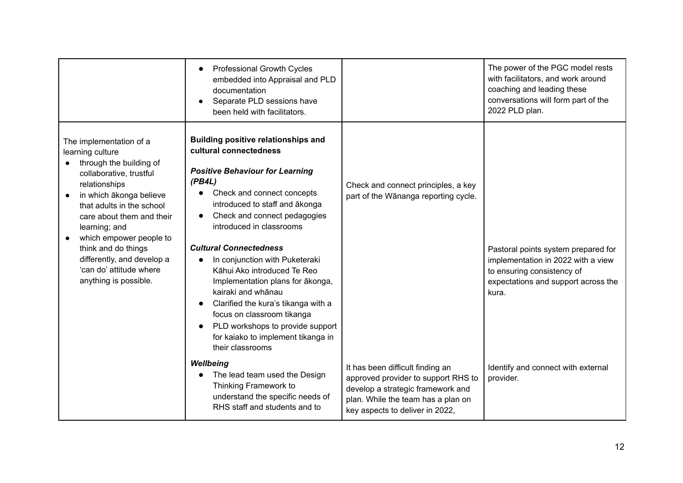|                                                                                                                                                                                                                                                                                                                                                              | Professional Growth Cycles<br>embedded into Appraisal and PLD<br>documentation<br>Separate PLD sessions have<br>been held with facilitators.                                                                                                                                                                                                                                                                                                                                                                                                                                        |                                                                                                                                                                                       | The power of the PGC model rests<br>with facilitators, and work around<br>coaching and leading these<br>conversations will form part of the<br>2022 PLD plan. |
|--------------------------------------------------------------------------------------------------------------------------------------------------------------------------------------------------------------------------------------------------------------------------------------------------------------------------------------------------------------|-------------------------------------------------------------------------------------------------------------------------------------------------------------------------------------------------------------------------------------------------------------------------------------------------------------------------------------------------------------------------------------------------------------------------------------------------------------------------------------------------------------------------------------------------------------------------------------|---------------------------------------------------------------------------------------------------------------------------------------------------------------------------------------|---------------------------------------------------------------------------------------------------------------------------------------------------------------|
| The implementation of a<br>learning culture<br>through the building of<br>collaborative, trustful<br>relationships<br>in which ākonga believe<br>that adults in the school<br>care about them and their<br>learning; and<br>which empower people to<br>think and do things<br>differently, and develop a<br>'can do' attitude where<br>anything is possible. | <b>Building positive relationships and</b><br>cultural connectedness<br><b>Positive Behaviour for Learning</b><br>(PB4L)<br>Check and connect concepts<br>introduced to staff and ākonga<br>Check and connect pedagogies<br>introduced in classrooms<br><b>Cultural Connectedness</b><br>In conjunction with Puketeraki<br>Kāhui Ako introduced Te Reo<br>Implementation plans for ākonga,<br>kairaki and whānau<br>Clarified the kura's tikanga with a<br>focus on classroom tikanga<br>PLD workshops to provide support<br>for kaiako to implement tikanga in<br>their classrooms | Check and connect principles, a key<br>part of the Wānanga reporting cycle.                                                                                                           | Pastoral points system prepared for<br>implementation in 2022 with a view<br>to ensuring consistency of<br>expectations and support across the<br>kura.       |
|                                                                                                                                                                                                                                                                                                                                                              | Wellbeing<br>The lead team used the Design<br>Thinking Framework to<br>understand the specific needs of<br>RHS staff and students and to                                                                                                                                                                                                                                                                                                                                                                                                                                            | It has been difficult finding an<br>approved provider to support RHS to<br>develop a strategic framework and<br>plan. While the team has a plan on<br>key aspects to deliver in 2022, | Identify and connect with external<br>provider.                                                                                                               |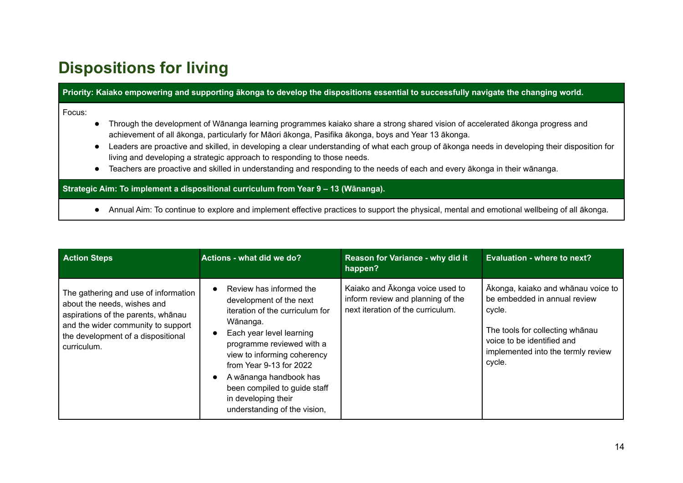### **Dispositions for living**

Priority: Kaiako empowering and supporting ākonga to develop the dispositions essential to successfully navigate the changing world.

Focus:

- Through the development of Wānanga learning programmes kaiako share a strong shared vision of accelerated ākonga progress and achievement of all ākonga, particularly for Māori ākonga, Pasifika ākonga, boys and Year 13 ākonga.
- Leaders are proactive and skilled, in developing a clear understanding of what each group of ākonga needs in developing their disposition for living and developing a strategic approach to responding to those needs.
- Teachers are proactive and skilled in understanding and responding to the needs of each and every ākonga in their wānanga.

**Strategic Aim: To implement a dispositional curriculum from Year 9 – 13 (Wānanga).**

● Annual Aim: To continue to explore and implement effective practices to support the physical, mental and emotional wellbeing of all ākonga.

| <b>Action Steps</b>                                                                                                                                                                                  | Actions - what did we do?                                                                                                                                                                                                                                                                                                                          | Reason for Variance - why did it<br>happen?                                                               | Evaluation - where to next?                                                                                                                                                                   |
|------------------------------------------------------------------------------------------------------------------------------------------------------------------------------------------------------|----------------------------------------------------------------------------------------------------------------------------------------------------------------------------------------------------------------------------------------------------------------------------------------------------------------------------------------------------|-----------------------------------------------------------------------------------------------------------|-----------------------------------------------------------------------------------------------------------------------------------------------------------------------------------------------|
| The gathering and use of information<br>about the needs, wishes and<br>aspirations of the parents, whanau<br>and the wider community to support<br>the development of a dispositional<br>curriculum. | Review has informed the<br>$\bullet$<br>development of the next<br>iteration of the curriculum for<br>Wānanga.<br>Each year level learning<br>programme reviewed with a<br>view to informing coherency<br>from Year 9-13 for 2022<br>A wānanga handbook has<br>been compiled to guide staff<br>in developing their<br>understanding of the vision, | Kaiako and Akonga voice used to<br>inform review and planning of the<br>next iteration of the curriculum. | Ākonga, kaiako and whānau voice to<br>be embedded in annual review<br>cycle.<br>The tools for collecting whanau<br>voice to be identified and<br>implemented into the termly review<br>cycle. |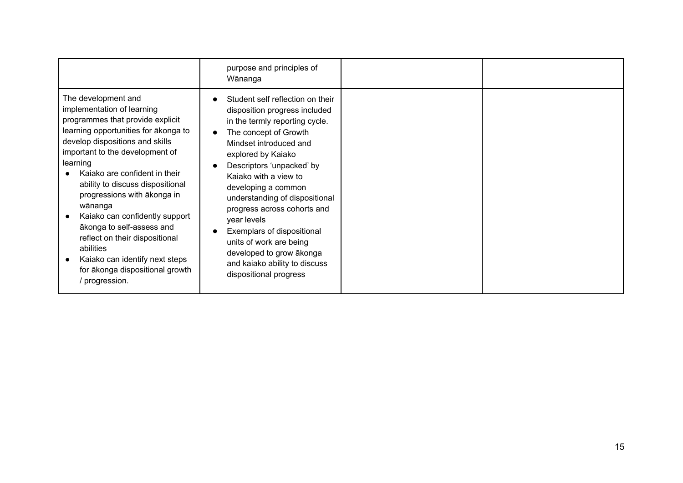|                                                                                                                                                                                                                                                                                                                                                                                                                                                                                                                                   | purpose and principles of<br>Wānanga                                                                                                                                                                                                                                                                                                                                                                                                                                                      |  |
|-----------------------------------------------------------------------------------------------------------------------------------------------------------------------------------------------------------------------------------------------------------------------------------------------------------------------------------------------------------------------------------------------------------------------------------------------------------------------------------------------------------------------------------|-------------------------------------------------------------------------------------------------------------------------------------------------------------------------------------------------------------------------------------------------------------------------------------------------------------------------------------------------------------------------------------------------------------------------------------------------------------------------------------------|--|
| The development and<br>implementation of learning<br>programmes that provide explicit<br>learning opportunities for akonga to<br>develop dispositions and skills<br>important to the development of<br>learning<br>Kaiako are confident in their<br>ability to discuss dispositional<br>progressions with akonga in<br>wānanga<br>Kaiako can confidently support<br>ākonga to self-assess and<br>reflect on their dispositional<br>abilities<br>Kaiako can identify next steps<br>for ākonga dispositional growth<br>progression. | Student self reflection on their<br>disposition progress included<br>in the termly reporting cycle.<br>The concept of Growth<br>Mindset introduced and<br>explored by Kaiako<br>Descriptors 'unpacked' by<br>Kajako with a view to<br>developing a common<br>understanding of dispositional<br>progress across cohorts and<br>year levels<br>Exemplars of dispositional<br>units of work are being<br>developed to grow ākonga<br>and kaiako ability to discuss<br>dispositional progress |  |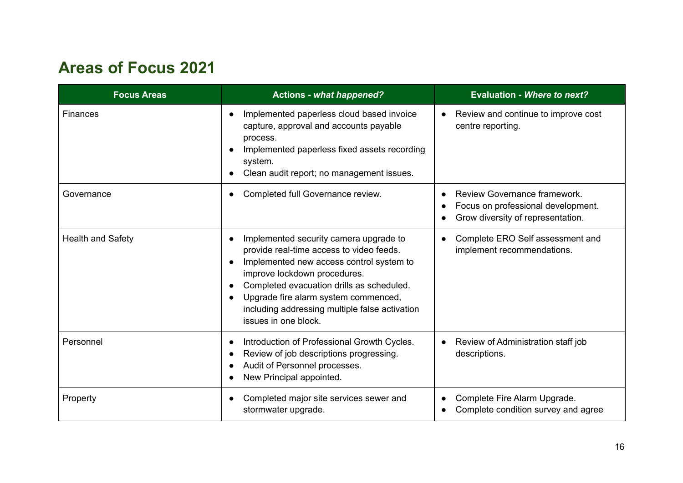### **Areas of Focus 2021**

| <b>Focus Areas</b>       | <b>Actions - what happened?</b>                                                                                                                                                                                                                                                                                               | <b>Evaluation - Where to next?</b>                                                                      |
|--------------------------|-------------------------------------------------------------------------------------------------------------------------------------------------------------------------------------------------------------------------------------------------------------------------------------------------------------------------------|---------------------------------------------------------------------------------------------------------|
| <b>Finances</b>          | Implemented paperless cloud based invoice<br>capture, approval and accounts payable<br>process.<br>Implemented paperless fixed assets recording<br>system.<br>Clean audit report; no management issues.                                                                                                                       | Review and continue to improve cost<br>centre reporting.                                                |
| Governance               | Completed full Governance review.                                                                                                                                                                                                                                                                                             | Review Governance framework.<br>Focus on professional development.<br>Grow diversity of representation. |
| <b>Health and Safety</b> | Implemented security camera upgrade to<br>provide real-time access to video feeds.<br>Implemented new access control system to<br>improve lockdown procedures.<br>Completed evacuation drills as scheduled.<br>Upgrade fire alarm system commenced,<br>including addressing multiple false activation<br>issues in one block. | Complete ERO Self assessment and<br>implement recommendations.                                          |
| Personnel                | Introduction of Professional Growth Cycles.<br>Review of job descriptions progressing.<br>Audit of Personnel processes.<br>New Principal appointed.                                                                                                                                                                           | Review of Administration staff job<br>descriptions.                                                     |
| Property                 | Completed major site services sewer and<br>stormwater upgrade.                                                                                                                                                                                                                                                                | Complete Fire Alarm Upgrade.<br>Complete condition survey and agree                                     |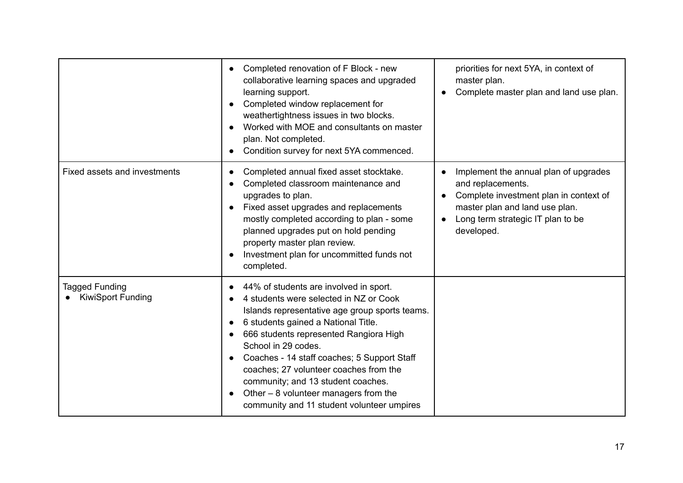|                                                   | Completed renovation of F Block - new<br>collaborative learning spaces and upgraded<br>learning support.<br>Completed window replacement for<br>weathertightness issues in two blocks.<br>Worked with MOE and consultants on master<br>plan. Not completed.<br>Condition survey for next 5YA commenced.                                                                                                                                                          | priorities for next 5YA, in context of<br>master plan.<br>Complete master plan and land use plan.                                                                                                      |
|---------------------------------------------------|------------------------------------------------------------------------------------------------------------------------------------------------------------------------------------------------------------------------------------------------------------------------------------------------------------------------------------------------------------------------------------------------------------------------------------------------------------------|--------------------------------------------------------------------------------------------------------------------------------------------------------------------------------------------------------|
| Fixed assets and investments                      | Completed annual fixed asset stocktake.<br>Completed classroom maintenance and<br>upgrades to plan.<br>Fixed asset upgrades and replacements<br>mostly completed according to plan - some<br>planned upgrades put on hold pending<br>property master plan review.<br>Investment plan for uncommitted funds not<br>completed.                                                                                                                                     | Implement the annual plan of upgrades<br>and replacements.<br>Complete investment plan in context of<br>master plan and land use plan.<br>Long term strategic IT plan to be<br>$\bullet$<br>developed. |
| <b>Tagged Funding</b><br><b>KiwiSport Funding</b> | 44% of students are involved in sport.<br>4 students were selected in NZ or Cook<br>Islands representative age group sports teams.<br>6 students gained a National Title.<br>666 students represented Rangiora High<br>School in 29 codes.<br>Coaches - 14 staff coaches; 5 Support Staff<br>coaches; 27 volunteer coaches from the<br>community; and 13 student coaches.<br>Other - 8 volunteer managers from the<br>community and 11 student volunteer umpires |                                                                                                                                                                                                        |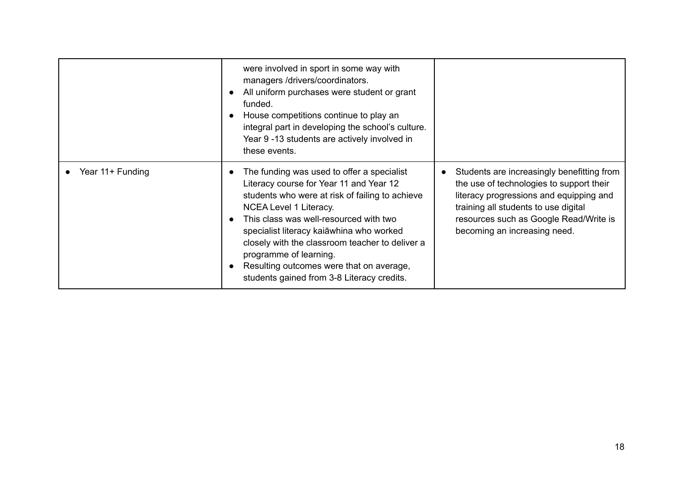|                  | were involved in sport in some way with<br>managers /drivers/coordinators.<br>All uniform purchases were student or grant<br>funded.<br>House competitions continue to play an<br>integral part in developing the school's culture.<br>Year 9 -13 students are actively involved in<br>these events.                                                                                                                            |                                                                                                                                                                                                                                                     |
|------------------|---------------------------------------------------------------------------------------------------------------------------------------------------------------------------------------------------------------------------------------------------------------------------------------------------------------------------------------------------------------------------------------------------------------------------------|-----------------------------------------------------------------------------------------------------------------------------------------------------------------------------------------------------------------------------------------------------|
| Year 11+ Funding | The funding was used to offer a specialist<br>Literacy course for Year 11 and Year 12<br>students who were at risk of failing to achieve<br>NCEA Level 1 Literacy.<br>This class was well-resourced with two<br>specialist literacy kaiāwhina who worked<br>closely with the classroom teacher to deliver a<br>programme of learning.<br>Resulting outcomes were that on average,<br>students gained from 3-8 Literacy credits. | Students are increasingly benefitting from<br>the use of technologies to support their<br>literacy progressions and equipping and<br>training all students to use digital<br>resources such as Google Read/Write is<br>becoming an increasing need. |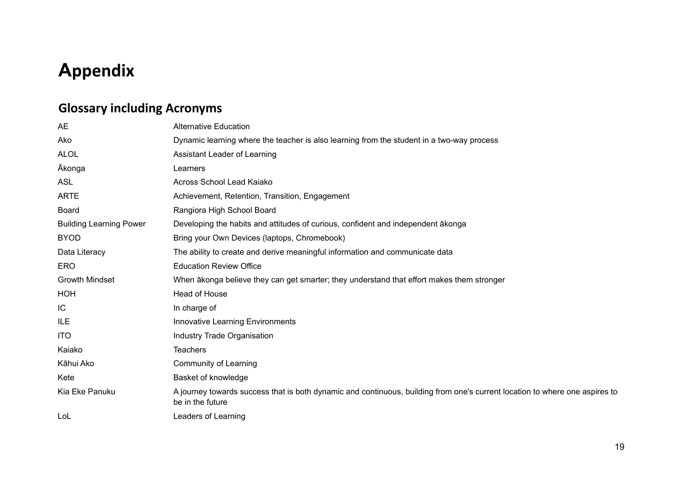# **Appendix**

### **Glossary including Acronyms**

| <b>AE</b>                      | <b>Alternative Education</b>                                                                                                                    |
|--------------------------------|-------------------------------------------------------------------------------------------------------------------------------------------------|
| Ako                            | Dynamic learning where the teacher is also learning from the student in a two-way process                                                       |
| <b>ALOL</b>                    | Assistant Leader of Learning                                                                                                                    |
| <b>Akonga</b>                  | Learners                                                                                                                                        |
| <b>ASL</b>                     | Across School Lead Kajako                                                                                                                       |
| <b>ARTE</b>                    | Achievement, Retention, Transition, Engagement                                                                                                  |
| <b>Board</b>                   | Rangiora High School Board                                                                                                                      |
| <b>Building Learning Power</b> | Developing the habits and attitudes of curious, confident and independent akonga                                                                |
| <b>BYOD</b>                    | Bring your Own Devices (laptops, Chromebook)                                                                                                    |
| Data Literacy                  | The ability to create and derive meaningful information and communicate data                                                                    |
| <b>ERO</b>                     | <b>Education Review Office</b>                                                                                                                  |
| <b>Growth Mindset</b>          | When ākonga believe they can get smarter; they understand that effort makes them stronger                                                       |
| HOH                            | Head of House                                                                                                                                   |
| IC                             | In charge of                                                                                                                                    |
| <b>ILE</b>                     | <b>Innovative Learning Environments</b>                                                                                                         |
| <b>ITO</b>                     | <b>Industry Trade Organisation</b>                                                                                                              |
| Kaiako                         | <b>Teachers</b>                                                                                                                                 |
| Kāhui Ako                      | Community of Learning                                                                                                                           |
| Kete                           | Basket of knowledge                                                                                                                             |
| Kia Eke Panuku                 | A journey towards success that is both dynamic and continuous, building from one's current location to where one aspires to<br>be in the future |
| LoL                            | Leaders of Learning                                                                                                                             |